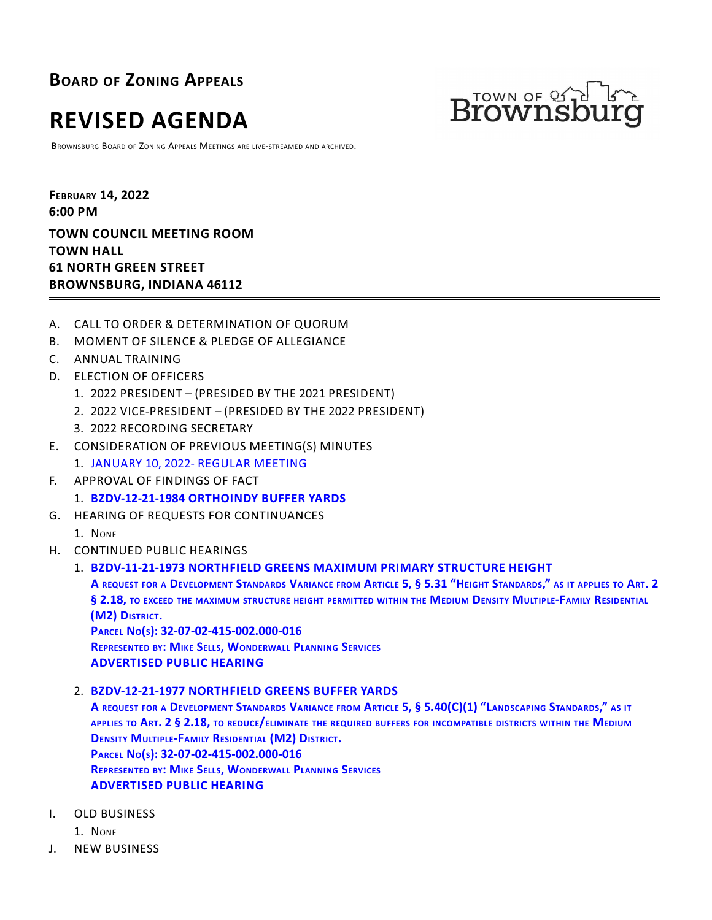**BOARD OF ZONING APPEALS**



BROWNSBURG BOARD OF ZONING APPEALS MEETINGS ARE LIVE-STREAMED AND ARCHIVED.



**FEBRUARY 14, 2022 6:00 PM TOWN COUNCIL MEETING ROOM TOWN HALL 61 NORTH GREEN STREET BROWNSBURG, INDIANA 46112**

- A. CALL TO ORDER & DETERMINATION OF QUORUM
- B. MOMENT OF SILENCE & PLEDGE OF ALLEGIANCE
- C. ANNUAL TRAINING
- D. ELECTION OF OFFICERS
	- 1. 2022 PRESIDENT (PRESIDED BY THE 2021 PRESIDENT)
	- 2. 2022 VICE-PRESIDENT (PRESIDED BY THE 2022 PRESIDENT)
	- 3. 2022 RECORDING SECRETARY
- E. CONSIDERATION OF PREVIOUS MEETING(S) MINUTES
	- 1. [JANUARY 10, 2022- REGULAR MEETING](http://packets.shea.agendease.com/getdoc.php?cID=10000128&bID=165&mID=5562&iID=48103)
- F. APPROVAL OF FINDINGS OF FACT
	- 1. **[BZDV-12-21-1984 ORTHOINDY BUFFER YARDS](http://packets.shea.agendease.com/getdoc.php?cID=10000128&bID=165&mID=5562&iID=48104)**
- G. HEARING OF REQUESTS FOR CONTINUANCES
	- 1. NONE
- H. CONTINUED PUBLIC HEARINGS

# 1. **[BZDV-11-21-1973 NORTHFIELD GREENS MAXIMUM PRIMARY STRUCTURE HEIGHT](http://packets.shea.agendease.com/getdoc.php?cID=10000128&bID=165&mID=5562&iID=48105)**

A REQUEST FOR A DEVELOPMENT STANDARDS VARIANCE FROM ARTICLE 5, § 5.31 "HEIGHT STANDARDS," AS IT APPLIES TO ART. 2 ARING OF REQUESTS FOR CONTINUANCES<br>NTINUED PUBLIC HEARINGS<br>BZDV-11-21-1973 NORTHFIELD GREENS MAXIMUM PRIMARY STRUCTURE HEIGHT<br>A request for a Development Standards Variance from Article 5, § 5.31 "Height Standards," as it **(M2) DISTRICT. <sup>P</sup>ARCEL NO(S): 32-07-02-415-002.000-016**

**REPRESENTED BY: MIKE SELLS, WONDERWALL PLANNING SERVICES ADVERTISED PUBLIC HEARING**

2. **[BZDV-12-21-1977 NORTHFIELD GREENS BUFFER YARDS](http://packets.shea.agendease.com/getdoc.php?cID=10000128&bID=165&mID=5562&iID=48106)**

A REQUEST FOR A DEVELOPMENT STANDARDS VARIANCE FROM ARTICLE 5, § 5.40(C)(1) "LANDSCAPING STANDARDS," AS IT APPLIES TO ART. 2 § 2.18, TO REDUCE/ELIMINATE THE REQUIRED BUFFERS FOR INCOMPATIBLE DISTRICTS WITHIN THE MEDIUM **DENSITY MULTIPLE-FAMILY RESIDENTIAL (M2) DISTRICT. PARCEL NO(S): 32-07-02-415-002.000-016 REPRESENTED BY: MIKE SELLS, WONDERWALL PLANNING SERVICES ADVERTISED PUBLIC HEARING**

- I. OLD BUSINESS
	- 1. NONE
- J. NEW BUSINESS